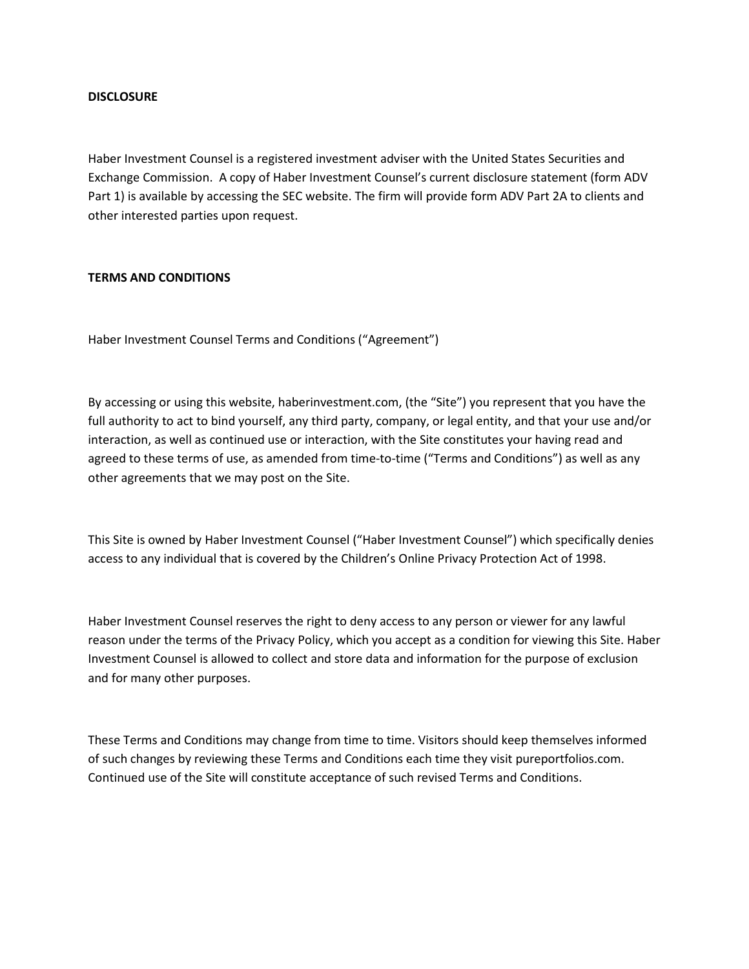## **DISCLOSURE**

Haber Investment Counsel is a registered investment adviser with the United States Securities and Exchange Commission. A copy of Haber Investment Counsel's current disclosure statement (form ADV Part 1) is available by accessing the SEC website. The firm will provide form ADV Part 2A to clients and other interested parties upon request.

## **TERMS AND CONDITIONS**

Haber Investment Counsel Terms and Conditions ("Agreement")

By accessing or using this website, haberinvestment.com, (the "Site") you represent that you have the full authority to act to bind yourself, any third party, company, or legal entity, and that your use and/or interaction, as well as continued use or interaction, with the Site constitutes your having read and agreed to these terms of use, as amended from time-to-time ("Terms and Conditions") as well as any other agreements that we may post on the Site.

This Site is owned by Haber Investment Counsel ("Haber Investment Counsel") which specifically denies access to any individual that is covered by the Children's Online Privacy Protection Act of 1998.

Haber Investment Counsel reserves the right to deny access to any person or viewer for any lawful reason under the terms of the Privacy Policy, which you accept as a condition for viewing this Site. Haber Investment Counsel is allowed to collect and store data and information for the purpose of exclusion and for many other purposes.

These Terms and Conditions may change from time to time. Visitors should keep themselves informed of such changes by reviewing these Terms and Conditions each time they visit pureportfolios.com. Continued use of the Site will constitute acceptance of such revised Terms and Conditions.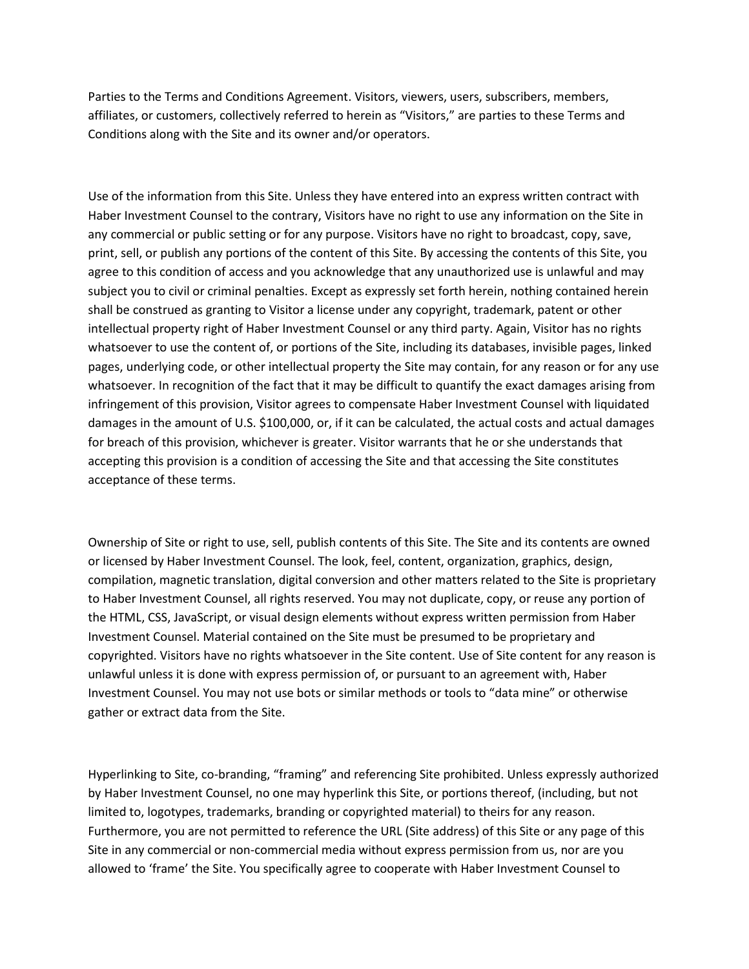Parties to the Terms and Conditions Agreement. Visitors, viewers, users, subscribers, members, affiliates, or customers, collectively referred to herein as "Visitors," are parties to these Terms and Conditions along with the Site and its owner and/or operators.

Use of the information from this Site. Unless they have entered into an express written contract with Haber Investment Counsel to the contrary, Visitors have no right to use any information on the Site in any commercial or public setting or for any purpose. Visitors have no right to broadcast, copy, save, print, sell, or publish any portions of the content of this Site. By accessing the contents of this Site, you agree to this condition of access and you acknowledge that any unauthorized use is unlawful and may subject you to civil or criminal penalties. Except as expressly set forth herein, nothing contained herein shall be construed as granting to Visitor a license under any copyright, trademark, patent or other intellectual property right of Haber Investment Counsel or any third party. Again, Visitor has no rights whatsoever to use the content of, or portions of the Site, including its databases, invisible pages, linked pages, underlying code, or other intellectual property the Site may contain, for any reason or for any use whatsoever. In recognition of the fact that it may be difficult to quantify the exact damages arising from infringement of this provision, Visitor agrees to compensate Haber Investment Counsel with liquidated damages in the amount of U.S. \$100,000, or, if it can be calculated, the actual costs and actual damages for breach of this provision, whichever is greater. Visitor warrants that he or she understands that accepting this provision is a condition of accessing the Site and that accessing the Site constitutes acceptance of these terms.

Ownership of Site or right to use, sell, publish contents of this Site. The Site and its contents are owned or licensed by Haber Investment Counsel. The look, feel, content, organization, graphics, design, compilation, magnetic translation, digital conversion and other matters related to the Site is proprietary to Haber Investment Counsel, all rights reserved. You may not duplicate, copy, or reuse any portion of the HTML, CSS, JavaScript, or visual design elements without express written permission from Haber Investment Counsel. Material contained on the Site must be presumed to be proprietary and copyrighted. Visitors have no rights whatsoever in the Site content. Use of Site content for any reason is unlawful unless it is done with express permission of, or pursuant to an agreement with, Haber Investment Counsel. You may not use bots or similar methods or tools to "data mine" or otherwise gather or extract data from the Site.

Hyperlinking to Site, co-branding, "framing" and referencing Site prohibited. Unless expressly authorized by Haber Investment Counsel, no one may hyperlink this Site, or portions thereof, (including, but not limited to, logotypes, trademarks, branding or copyrighted material) to theirs for any reason. Furthermore, you are not permitted to reference the URL (Site address) of this Site or any page of this Site in any commercial or non-commercial media without express permission from us, nor are you allowed to 'frame' the Site. You specifically agree to cooperate with Haber Investment Counsel to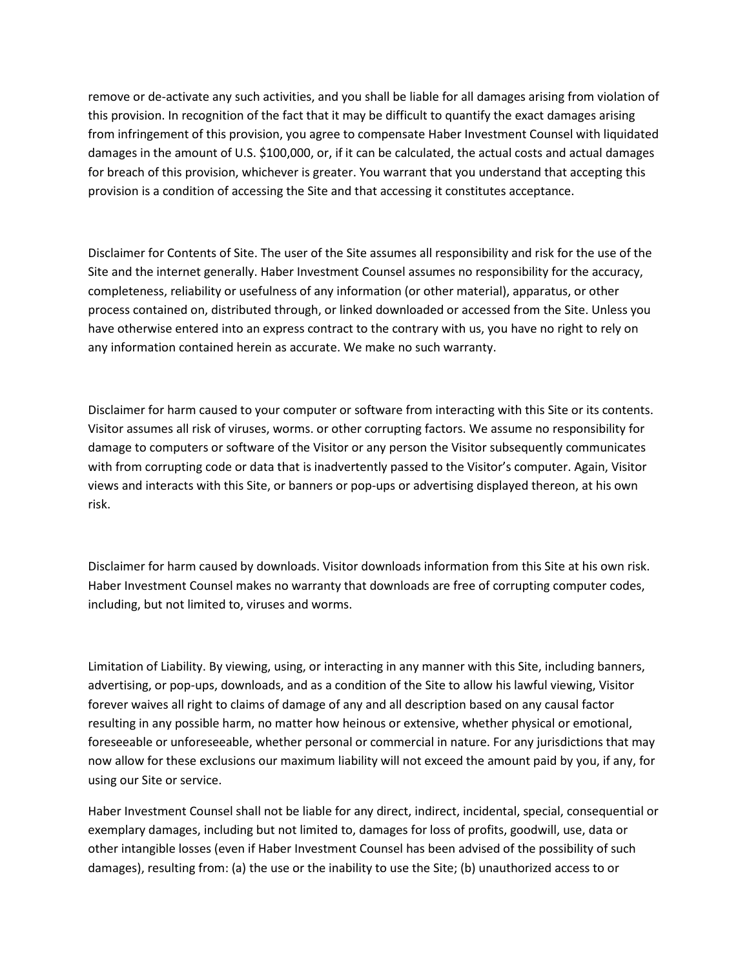remove or de-activate any such activities, and you shall be liable for all damages arising from violation of this provision. In recognition of the fact that it may be difficult to quantify the exact damages arising from infringement of this provision, you agree to compensate Haber Investment Counsel with liquidated damages in the amount of U.S. \$100,000, or, if it can be calculated, the actual costs and actual damages for breach of this provision, whichever is greater. You warrant that you understand that accepting this provision is a condition of accessing the Site and that accessing it constitutes acceptance.

Disclaimer for Contents of Site. The user of the Site assumes all responsibility and risk for the use of the Site and the internet generally. Haber Investment Counsel assumes no responsibility for the accuracy, completeness, reliability or usefulness of any information (or other material), apparatus, or other process contained on, distributed through, or linked downloaded or accessed from the Site. Unless you have otherwise entered into an express contract to the contrary with us, you have no right to rely on any information contained herein as accurate. We make no such warranty.

Disclaimer for harm caused to your computer or software from interacting with this Site or its contents. Visitor assumes all risk of viruses, worms. or other corrupting factors. We assume no responsibility for damage to computers or software of the Visitor or any person the Visitor subsequently communicates with from corrupting code or data that is inadvertently passed to the Visitor's computer. Again, Visitor views and interacts with this Site, or banners or pop-ups or advertising displayed thereon, at his own risk.

Disclaimer for harm caused by downloads. Visitor downloads information from this Site at his own risk. Haber Investment Counsel makes no warranty that downloads are free of corrupting computer codes, including, but not limited to, viruses and worms.

Limitation of Liability. By viewing, using, or interacting in any manner with this Site, including banners, advertising, or pop-ups, downloads, and as a condition of the Site to allow his lawful viewing, Visitor forever waives all right to claims of damage of any and all description based on any causal factor resulting in any possible harm, no matter how heinous or extensive, whether physical or emotional, foreseeable or unforeseeable, whether personal or commercial in nature. For any jurisdictions that may now allow for these exclusions our maximum liability will not exceed the amount paid by you, if any, for using our Site or service.

Haber Investment Counsel shall not be liable for any direct, indirect, incidental, special, consequential or exemplary damages, including but not limited to, damages for loss of profits, goodwill, use, data or other intangible losses (even if Haber Investment Counsel has been advised of the possibility of such damages), resulting from: (a) the use or the inability to use the Site; (b) unauthorized access to or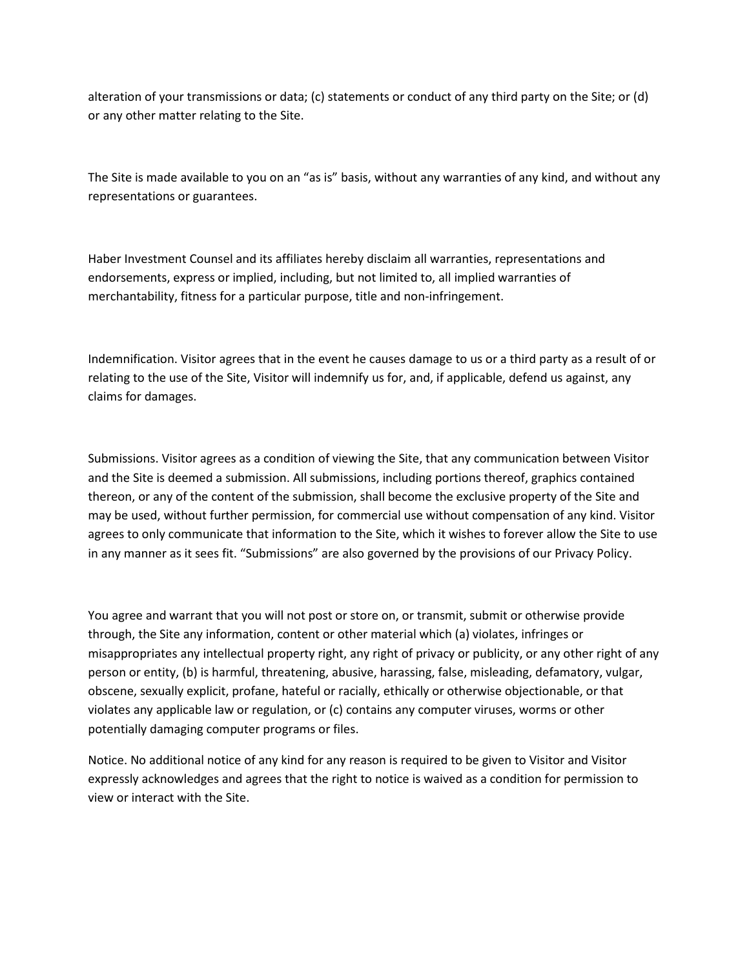alteration of your transmissions or data; (c) statements or conduct of any third party on the Site; or (d) or any other matter relating to the Site.

The Site is made available to you on an "as is" basis, without any warranties of any kind, and without any representations or guarantees.

Haber Investment Counsel and its affiliates hereby disclaim all warranties, representations and endorsements, express or implied, including, but not limited to, all implied warranties of merchantability, fitness for a particular purpose, title and non-infringement.

Indemnification. Visitor agrees that in the event he causes damage to us or a third party as a result of or relating to the use of the Site, Visitor will indemnify us for, and, if applicable, defend us against, any claims for damages.

Submissions. Visitor agrees as a condition of viewing the Site, that any communication between Visitor and the Site is deemed a submission. All submissions, including portions thereof, graphics contained thereon, or any of the content of the submission, shall become the exclusive property of the Site and may be used, without further permission, for commercial use without compensation of any kind. Visitor agrees to only communicate that information to the Site, which it wishes to forever allow the Site to use in any manner as it sees fit. "Submissions" are also governed by the provisions of our Privacy Policy.

You agree and warrant that you will not post or store on, or transmit, submit or otherwise provide through, the Site any information, content or other material which (a) violates, infringes or misappropriates any intellectual property right, any right of privacy or publicity, or any other right of any person or entity, (b) is harmful, threatening, abusive, harassing, false, misleading, defamatory, vulgar, obscene, sexually explicit, profane, hateful or racially, ethically or otherwise objectionable, or that violates any applicable law or regulation, or (c) contains any computer viruses, worms or other potentially damaging computer programs or files.

Notice. No additional notice of any kind for any reason is required to be given to Visitor and Visitor expressly acknowledges and agrees that the right to notice is waived as a condition for permission to view or interact with the Site.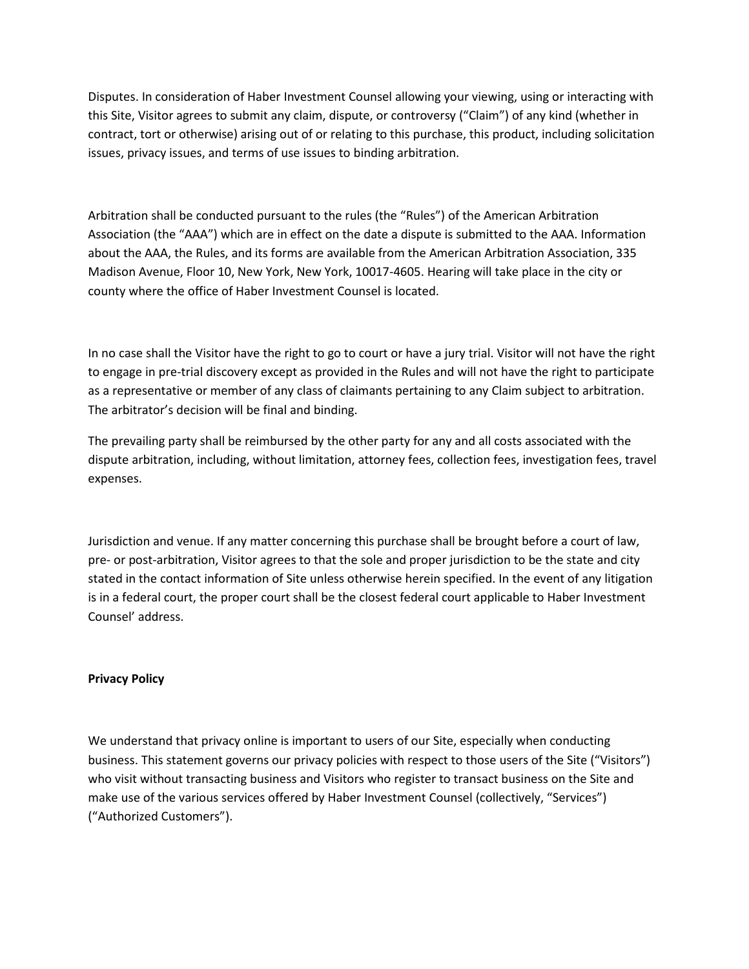Disputes. In consideration of Haber Investment Counsel allowing your viewing, using or interacting with this Site, Visitor agrees to submit any claim, dispute, or controversy ("Claim") of any kind (whether in contract, tort or otherwise) arising out of or relating to this purchase, this product, including solicitation issues, privacy issues, and terms of use issues to binding arbitration.

Arbitration shall be conducted pursuant to the rules (the "Rules") of the American Arbitration Association (the "AAA") which are in effect on the date a dispute is submitted to the AAA. Information about the AAA, the Rules, and its forms are available from the American Arbitration Association, 335 Madison Avenue, Floor 10, New York, New York, 10017-4605. Hearing will take place in the city or county where the office of Haber Investment Counsel is located.

In no case shall the Visitor have the right to go to court or have a jury trial. Visitor will not have the right to engage in pre-trial discovery except as provided in the Rules and will not have the right to participate as a representative or member of any class of claimants pertaining to any Claim subject to arbitration. The arbitrator's decision will be final and binding.

The prevailing party shall be reimbursed by the other party for any and all costs associated with the dispute arbitration, including, without limitation, attorney fees, collection fees, investigation fees, travel expenses.

Jurisdiction and venue. If any matter concerning this purchase shall be brought before a court of law, pre- or post-arbitration, Visitor agrees to that the sole and proper jurisdiction to be the state and city stated in the contact information of Site unless otherwise herein specified. In the event of any litigation is in a federal court, the proper court shall be the closest federal court applicable to Haber Investment Counsel' address.

## **Privacy Policy**

We understand that privacy online is important to users of our Site, especially when conducting business. This statement governs our privacy policies with respect to those users of the Site ("Visitors") who visit without transacting business and Visitors who register to transact business on the Site and make use of the various services offered by Haber Investment Counsel (collectively, "Services") ("Authorized Customers").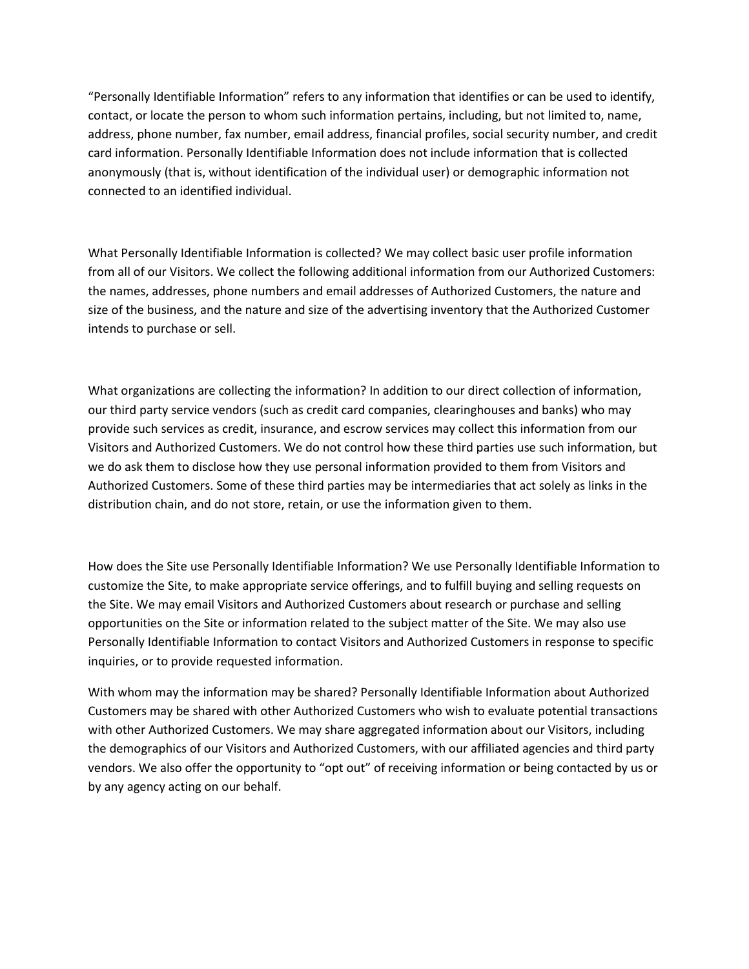"Personally Identifiable Information" refers to any information that identifies or can be used to identify, contact, or locate the person to whom such information pertains, including, but not limited to, name, address, phone number, fax number, email address, financial profiles, social security number, and credit card information. Personally Identifiable Information does not include information that is collected anonymously (that is, without identification of the individual user) or demographic information not connected to an identified individual.

What Personally Identifiable Information is collected? We may collect basic user profile information from all of our Visitors. We collect the following additional information from our Authorized Customers: the names, addresses, phone numbers and email addresses of Authorized Customers, the nature and size of the business, and the nature and size of the advertising inventory that the Authorized Customer intends to purchase or sell.

What organizations are collecting the information? In addition to our direct collection of information, our third party service vendors (such as credit card companies, clearinghouses and banks) who may provide such services as credit, insurance, and escrow services may collect this information from our Visitors and Authorized Customers. We do not control how these third parties use such information, but we do ask them to disclose how they use personal information provided to them from Visitors and Authorized Customers. Some of these third parties may be intermediaries that act solely as links in the distribution chain, and do not store, retain, or use the information given to them.

How does the Site use Personally Identifiable Information? We use Personally Identifiable Information to customize the Site, to make appropriate service offerings, and to fulfill buying and selling requests on the Site. We may email Visitors and Authorized Customers about research or purchase and selling opportunities on the Site or information related to the subject matter of the Site. We may also use Personally Identifiable Information to contact Visitors and Authorized Customers in response to specific inquiries, or to provide requested information.

With whom may the information may be shared? Personally Identifiable Information about Authorized Customers may be shared with other Authorized Customers who wish to evaluate potential transactions with other Authorized Customers. We may share aggregated information about our Visitors, including the demographics of our Visitors and Authorized Customers, with our affiliated agencies and third party vendors. We also offer the opportunity to "opt out" of receiving information or being contacted by us or by any agency acting on our behalf.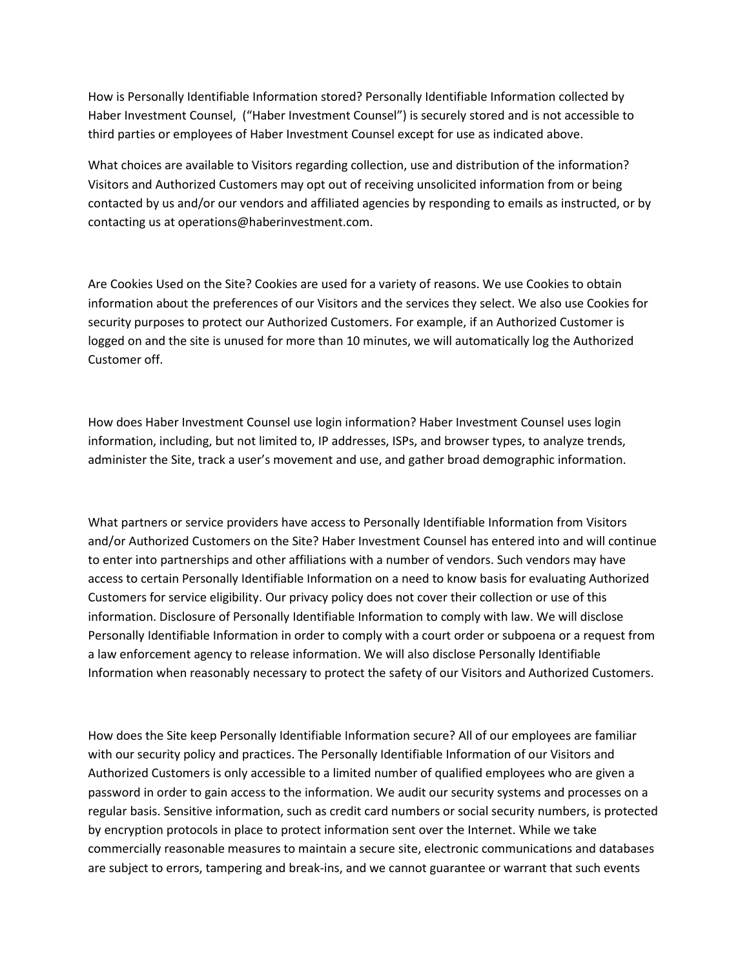How is Personally Identifiable Information stored? Personally Identifiable Information collected by Haber Investment Counsel, ("Haber Investment Counsel") is securely stored and is not accessible to third parties or employees of Haber Investment Counsel except for use as indicated above.

What choices are available to Visitors regarding collection, use and distribution of the information? Visitors and Authorized Customers may opt out of receiving unsolicited information from or being contacted by us and/or our vendors and affiliated agencies by responding to emails as instructed, or by contacting us at operations@haberinvestment.com.

Are Cookies Used on the Site? Cookies are used for a variety of reasons. We use Cookies to obtain information about the preferences of our Visitors and the services they select. We also use Cookies for security purposes to protect our Authorized Customers. For example, if an Authorized Customer is logged on and the site is unused for more than 10 minutes, we will automatically log the Authorized Customer off.

How does Haber Investment Counsel use login information? Haber Investment Counsel uses login information, including, but not limited to, IP addresses, ISPs, and browser types, to analyze trends, administer the Site, track a user's movement and use, and gather broad demographic information.

What partners or service providers have access to Personally Identifiable Information from Visitors and/or Authorized Customers on the Site? Haber Investment Counsel has entered into and will continue to enter into partnerships and other affiliations with a number of vendors. Such vendors may have access to certain Personally Identifiable Information on a need to know basis for evaluating Authorized Customers for service eligibility. Our privacy policy does not cover their collection or use of this information. Disclosure of Personally Identifiable Information to comply with law. We will disclose Personally Identifiable Information in order to comply with a court order or subpoena or a request from a law enforcement agency to release information. We will also disclose Personally Identifiable Information when reasonably necessary to protect the safety of our Visitors and Authorized Customers.

How does the Site keep Personally Identifiable Information secure? All of our employees are familiar with our security policy and practices. The Personally Identifiable Information of our Visitors and Authorized Customers is only accessible to a limited number of qualified employees who are given a password in order to gain access to the information. We audit our security systems and processes on a regular basis. Sensitive information, such as credit card numbers or social security numbers, is protected by encryption protocols in place to protect information sent over the Internet. While we take commercially reasonable measures to maintain a secure site, electronic communications and databases are subject to errors, tampering and break-ins, and we cannot guarantee or warrant that such events